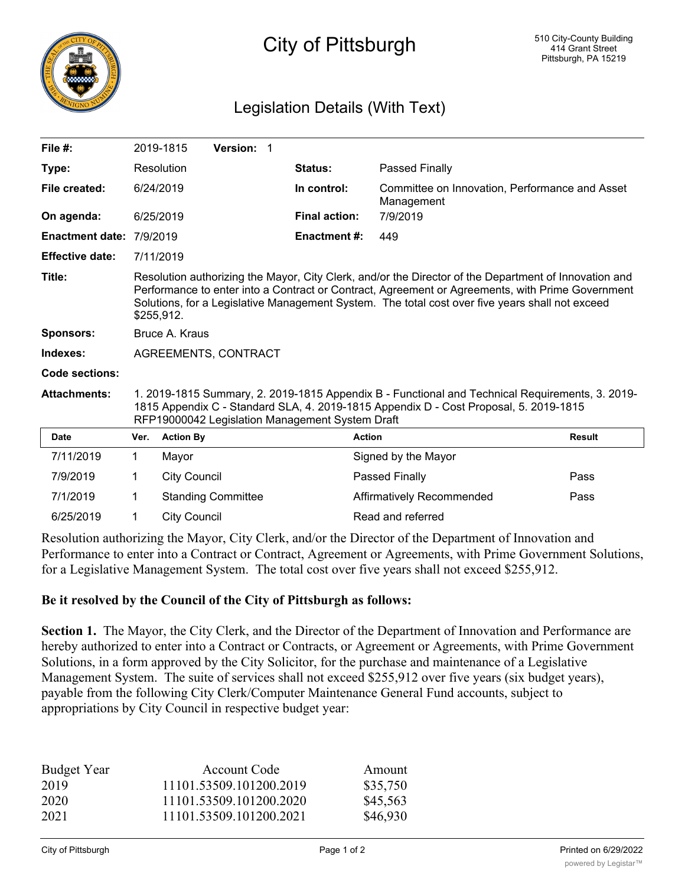

## Legislation Details (With Text)

| File #:                |                                                                                                                                                                                                                                                                                                                            | 2019-1815<br>Version: 1   |                      |                                                              |               |  |
|------------------------|----------------------------------------------------------------------------------------------------------------------------------------------------------------------------------------------------------------------------------------------------------------------------------------------------------------------------|---------------------------|----------------------|--------------------------------------------------------------|---------------|--|
| Type:                  |                                                                                                                                                                                                                                                                                                                            | Resolution                | Status:              | Passed Finally                                               |               |  |
| File created:          |                                                                                                                                                                                                                                                                                                                            | 6/24/2019                 | In control:          | Committee on Innovation, Performance and Asset<br>Management |               |  |
| On agenda:             |                                                                                                                                                                                                                                                                                                                            | 6/25/2019                 | <b>Final action:</b> | 7/9/2019                                                     |               |  |
| <b>Enactment date:</b> | 7/9/2019                                                                                                                                                                                                                                                                                                                   |                           | <b>Enactment #:</b>  | 449                                                          |               |  |
| <b>Effective date:</b> |                                                                                                                                                                                                                                                                                                                            | 7/11/2019                 |                      |                                                              |               |  |
| Title:                 | Resolution authorizing the Mayor, City Clerk, and/or the Director of the Department of Innovation and<br>Performance to enter into a Contract or Contract, Agreement or Agreements, with Prime Government<br>Solutions, for a Legislative Management System. The total cost over five years shall not exceed<br>\$255,912. |                           |                      |                                                              |               |  |
| <b>Sponsors:</b>       | Bruce A. Kraus                                                                                                                                                                                                                                                                                                             |                           |                      |                                                              |               |  |
| Indexes:               | AGREEMENTS, CONTRACT                                                                                                                                                                                                                                                                                                       |                           |                      |                                                              |               |  |
| <b>Code sections:</b>  |                                                                                                                                                                                                                                                                                                                            |                           |                      |                                                              |               |  |
| <b>Attachments:</b>    | 1. 2019-1815 Summary, 2. 2019-1815 Appendix B - Functional and Technical Requirements, 3. 2019-<br>1815 Appendix C - Standard SLA, 4. 2019-1815 Appendix D - Cost Proposal, 5. 2019-1815<br>RFP19000042 Legislation Management System Draft                                                                                |                           |                      |                                                              |               |  |
| <b>Date</b>            | Ver.                                                                                                                                                                                                                                                                                                                       | <b>Action By</b>          | <b>Action</b>        |                                                              | <b>Result</b> |  |
| 7/11/2019              | 1                                                                                                                                                                                                                                                                                                                          | Mayor                     |                      | Signed by the Mayor                                          |               |  |
| 7/9/2019               | 1                                                                                                                                                                                                                                                                                                                          | <b>City Council</b>       |                      | Passed Finally                                               | Pass          |  |
| 7/1/2019               | 1                                                                                                                                                                                                                                                                                                                          | <b>Standing Committee</b> |                      | <b>Affirmatively Recommended</b>                             | Pass          |  |
| 6/25/2019              | 1                                                                                                                                                                                                                                                                                                                          | <b>City Council</b>       |                      | Read and referred                                            |               |  |

Resolution authorizing the Mayor, City Clerk, and/or the Director of the Department of Innovation and Performance to enter into a Contract or Contract, Agreement or Agreements, with Prime Government Solutions, for a Legislative Management System. The total cost over five years shall not exceed \$255,912.

## **Be it resolved by the Council of the City of Pittsburgh as follows:**

**Section 1.** The Mayor, the City Clerk, and the Director of the Department of Innovation and Performance are hereby authorized to enter into a Contract or Contracts, or Agreement or Agreements, with Prime Government Solutions, in a form approved by the City Solicitor, for the purchase and maintenance of a Legislative Management System. The suite of services shall not exceed \$255,912 over five years (six budget years), payable from the following City Clerk/Computer Maintenance General Fund accounts, subject to appropriations by City Council in respective budget year:

| Budget Year | Account Code            | Amount   |
|-------------|-------------------------|----------|
| 2019        | 11101.53509.101200.2019 | \$35,750 |
| 2020        | 11101.53509.101200.2020 | \$45,563 |
| 2021        | 11101.53509.101200.2021 | \$46,930 |